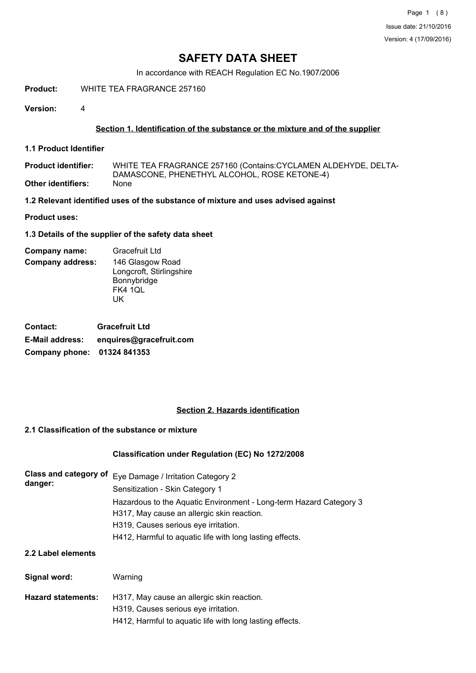In accordance with REACH Regulation EC No.1907/2006

**Product:** WHITE TEA FRAGRANCE 257160

**Version:** 4

## **Section 1. Identification of the substance or the mixture and of the supplier**

**1.1 Product Identifier**

WHITE TEA FRAGRANCE 257160 (Contains:CYCLAMEN ALDEHYDE, DELTA-DAMASCONE, PHENETHYL ALCOHOL, ROSE KETONE-4)<br>None **Product identifier: Other identifiers:** 

**1.2 Relevant identified uses of the substance of mixture and uses advised against**

**Product uses:**

**1.3 Details of the supplier of the safety data sheet**

#### **Company address:** 146 Glasgow Road Longcroft, Stirlingshire Bonnybridge FK4 1QL UK **Company name:** Gracefruit Ltd

| <b>Contact:</b>             | <b>Gracefruit Ltd</b>   |
|-----------------------------|-------------------------|
| <b>E-Mail address:</b>      | enquires@gracefruit.com |
| Company phone: 01324 841353 |                         |

## **Section 2. Hazards identification**

## **2.1 Classification of the substance or mixture**

## **Classification under Regulation (EC) No 1272/2008**

| danger: | Class and category of Eye Damage / Irritation Category 2           |
|---------|--------------------------------------------------------------------|
|         | Sensitization - Skin Category 1                                    |
|         | Hazardous to the Aquatic Environment - Long-term Hazard Category 3 |
|         | H317, May cause an allergic skin reaction.                         |
|         | H319, Causes serious eye irritation.                               |
|         | H412, Harmful to aquatic life with long lasting effects.           |

## **2.2 Label elements**

| Signal word:              | Warning                                                  |
|---------------------------|----------------------------------------------------------|
| <b>Hazard statements:</b> | H317, May cause an allergic skin reaction.               |
|                           | H319, Causes serious eye irritation.                     |
|                           | H412, Harmful to aquatic life with long lasting effects. |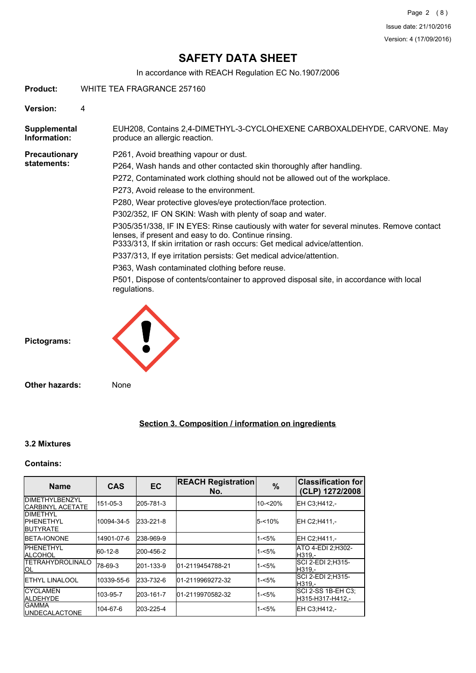In accordance with REACH Regulation EC No.1907/2006

**Product:** WHITE TEA FRAGRANCE 257160

**Version:** 4

EUH208, Contains 2,4-DIMETHYL-3-CYCLOHEXENE CARBOXALDEHYDE, CARVONE. May produce an allergic reaction. **Supplemental Information: Precautionary statements:** P261, Avoid breathing vapour or dust. P264, Wash hands and other contacted skin thoroughly after handling. P272, Contaminated work clothing should not be allowed out of the workplace.

P273, Avoid release to the environment.

P280, Wear protective gloves/eye protection/face protection.

P302/352, IF ON SKIN: Wash with plenty of soap and water.

P305/351/338, IF IN EYES: Rinse cautiously with water for several minutes. Remove contact lenses, if present and easy to do. Continue rinsing.

P333/313, If skin irritation or rash occurs: Get medical advice/attention.

P337/313, If eye irritation persists: Get medical advice/attention.

P363, Wash contaminated clothing before reuse.

P501, Dispose of contents/container to approved disposal site, in accordance with local regulations.



**Pictograms:**

**Other hazards:** None

**Section 3. Composition / information on ingredients**

## **3.2 Mixtures**

## **Contains:**

| <b>Name</b>                                              | <b>CAS</b> | <b>EC</b> | <b>REACH Registration</b><br>No. | $\%$      | <b>Classification for</b><br>(CLP) 1272/2008 |
|----------------------------------------------------------|------------|-----------|----------------------------------|-----------|----------------------------------------------|
| <b>IDIMETHYLBENZYL</b><br><b>ICARBINYL ACETATE</b>       | 151-05-3   | 205-781-3 |                                  | 10-<20%   | IEH C3:H412.-                                |
| <b>IDIMETHYL</b><br><b>IPHENETHYL</b><br><b>BUTYRATE</b> | 10094-34-5 | 233-221-8 |                                  | $5 - 10%$ | IEH C2:H411 -                                |
| <b>IBETA-IONONE</b>                                      | 14901-07-6 | 238-969-9 |                                  | $1 - 5%$  | EH C2;H411,-                                 |
| <b>IPHENETHYL</b><br><b>ALCOHOL</b>                      | 60-12-8    | 200-456-2 |                                  | 1-<5%     | ATO 4-EDI 2:H302-<br>H319.-                  |
| <b>TETRAHYDROLINALO</b><br>IOL                           | 78-69-3    | 201-133-9 | 01-2119454788-21                 | $1 - 5%$  | ISCI 2-EDI 2:H315-<br>IH319.-                |
| <b>I</b> ETHYL LINALOOL                                  | 10339-55-6 | 233-732-6 | 01-2119969272-32                 | $1 - 5%$  | ISCI 2-EDI 2:H315-<br>H319.-                 |
| <b>ICYCLAMEN</b><br><b>ALDEHYDE</b>                      | 103-95-7   | 203-161-7 | 01-2119970582-32                 | $1 - 5%$  | ISCI 2-SS 1B-EH C3:<br>H315-H317-H412.-      |
| <b>GAMMA</b><br><b>IUNDECALACTONE</b>                    | 104-67-6   | 203-225-4 |                                  | $1 - 5%$  | IEH C3:H412.-                                |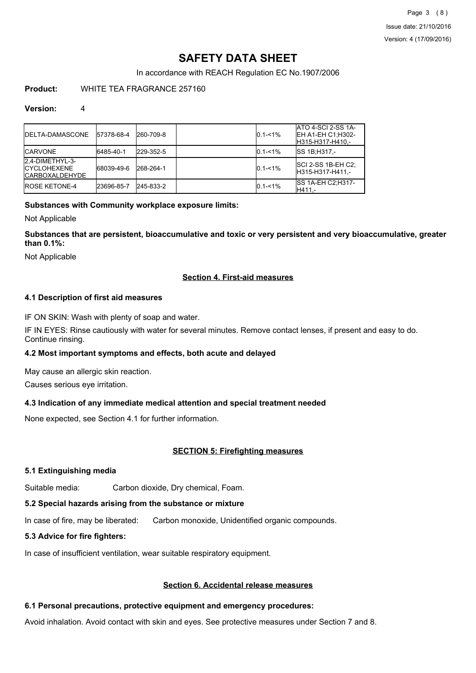In accordance with REACH Regulation EC No.1907/2006

## **Product:** WHITE TEA FRAGRANCE 257160

## **Version:** 4

| <b>IDELTA-DAMASCONE</b>                                          | 57378-68-4 | 260-709-8 | $0.1 - 1\%$ | ATO 4-SCI 2-SS 1A-<br><b>IEH A1-EH C1:H302-</b><br>H315-H317-H410,- |
|------------------------------------------------------------------|------------|-----------|-------------|---------------------------------------------------------------------|
| <b>ICARVONE</b>                                                  | 6485-40-1  | 229-352-5 | $0.1 - 1\%$ | <b>ISS 1B:H317.-</b>                                                |
| 2,4-DIMETHYL-3-<br><b>ICYCLOHEXENE</b><br><b>ICARBOXALDEHYDE</b> | 68039-49-6 | 268-264-1 | $0.1 - 1\%$ | <b>SCI 2-SS 1B-EH C2:</b><br>IH315-H317-H411.-                      |
| <b>IROSE KETONE-4</b>                                            | 23696-85-7 | 245-833-2 | $0.1 - 1\%$ | <b>ISS 1A-EH C2: H317-</b><br>H411.-                                |

## **Substances with Community workplace exposure limits:**

Not Applicable

**Substances that are persistent, bioaccumulative and toxic or very persistent and very bioaccumulative, greater than 0.1%:**

Not Applicable

## **Section 4. First-aid measures**

## **4.1 Description of first aid measures**

IF ON SKIN: Wash with plenty of soap and water.

IF IN EYES: Rinse cautiously with water for several minutes. Remove contact lenses, if present and easy to do. Continue rinsing.

## **4.2 Most important symptoms and effects, both acute and delayed**

May cause an allergic skin reaction.

Causes serious eye irritation.

## **4.3 Indication of any immediate medical attention and special treatment needed**

None expected, see Section 4.1 for further information.

## **SECTION 5: Firefighting measures**

## **5.1 Extinguishing media**

Suitable media: Carbon dioxide, Dry chemical, Foam.

## **5.2 Special hazards arising from the substance or mixture**

In case of fire, may be liberated: Carbon monoxide, Unidentified organic compounds.

## **5.3 Advice for fire fighters:**

In case of insufficient ventilation, wear suitable respiratory equipment.

## **Section 6. Accidental release measures**

## **6.1 Personal precautions, protective equipment and emergency procedures:**

Avoid inhalation. Avoid contact with skin and eyes. See protective measures under Section 7 and 8.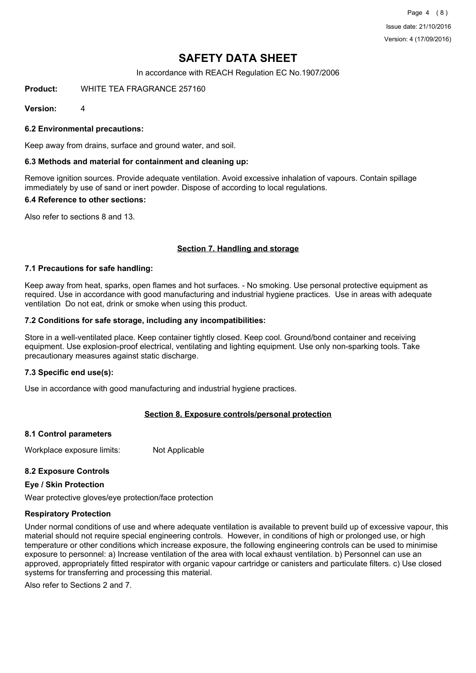Page 4 (8) Issue date: 21/10/2016 Version: 4 (17/09/2016)

# **SAFETY DATA SHEET**

In accordance with REACH Regulation EC No.1907/2006

**Product:** WHITE TEA FRAGRANCE 257160

**Version:** 4

**6.2 Environmental precautions:**

Keep away from drains, surface and ground water, and soil.

### **6.3 Methods and material for containment and cleaning up:**

Remove ignition sources. Provide adequate ventilation. Avoid excessive inhalation of vapours. Contain spillage immediately by use of sand or inert powder. Dispose of according to local regulations.

### **6.4 Reference to other sections:**

Also refer to sections 8 and 13.

## **Section 7. Handling and storage**

### **7.1 Precautions for safe handling:**

Keep away from heat, sparks, open flames and hot surfaces. - No smoking. Use personal protective equipment as required. Use in accordance with good manufacturing and industrial hygiene practices. Use in areas with adequate ventilation Do not eat, drink or smoke when using this product.

### **7.2 Conditions for safe storage, including any incompatibilities:**

Store in a well-ventilated place. Keep container tightly closed. Keep cool. Ground/bond container and receiving equipment. Use explosion-proof electrical, ventilating and lighting equipment. Use only non-sparking tools. Take precautionary measures against static discharge.

## **7.3 Specific end use(s):**

Use in accordance with good manufacturing and industrial hygiene practices.

## **Section 8. Exposure controls/personal protection**

#### **8.1 Control parameters**

Workplace exposure limits: Not Applicable

## **8.2 Exposure Controls**

#### **Eye / Skin Protection**

Wear protective gloves/eye protection/face protection

## **Respiratory Protection**

Under normal conditions of use and where adequate ventilation is available to prevent build up of excessive vapour, this material should not require special engineering controls. However, in conditions of high or prolonged use, or high temperature or other conditions which increase exposure, the following engineering controls can be used to minimise exposure to personnel: a) Increase ventilation of the area with local exhaust ventilation. b) Personnel can use an approved, appropriately fitted respirator with organic vapour cartridge or canisters and particulate filters. c) Use closed systems for transferring and processing this material.

Also refer to Sections 2 and 7.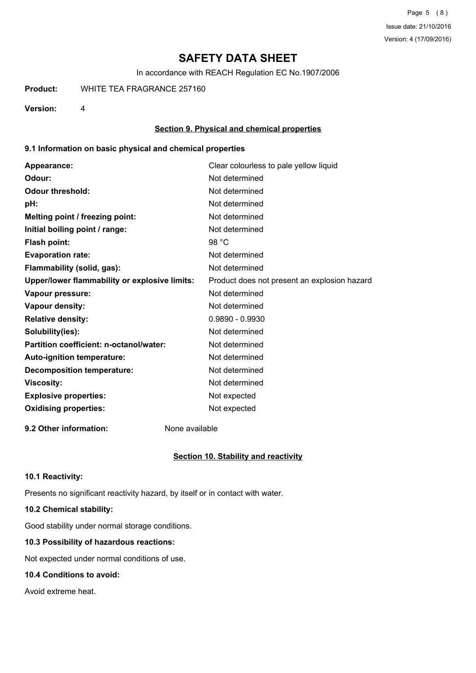In accordance with REACH Regulation EC No.1907/2006

**Product:** WHITE TEA FRAGRANCE 257160

**Version:** 4

## **Section 9. Physical and chemical properties**

## **9.1 Information on basic physical and chemical properties**

| Appearance:                                   | Clear colourless to pale yellow liquid       |
|-----------------------------------------------|----------------------------------------------|
| Odour:                                        | Not determined                               |
| <b>Odour threshold:</b>                       | Not determined                               |
| pH:                                           | Not determined                               |
| Melting point / freezing point:               | Not determined                               |
| Initial boiling point / range:                | Not determined                               |
| Flash point:                                  | 98 $°C$                                      |
| <b>Evaporation rate:</b>                      | Not determined                               |
| Flammability (solid, gas):                    | Not determined                               |
| Upper/lower flammability or explosive limits: | Product does not present an explosion hazard |
| Vapour pressure:                              | Not determined                               |
| Vapour density:                               | Not determined                               |
| <b>Relative density:</b>                      | $0.9890 - 0.9930$                            |
| Solubility(ies):                              | Not determined                               |
| Partition coefficient: n-octanol/water:       | Not determined                               |
| Auto-ignition temperature:                    | Not determined                               |
| <b>Decomposition temperature:</b>             | Not determined                               |
| <b>Viscosity:</b>                             | Not determined                               |
| <b>Explosive properties:</b>                  | Not expected                                 |
| <b>Oxidising properties:</b>                  | Not expected                                 |
|                                               |                                              |

**9.2 Other information:** None available

## **Section 10. Stability and reactivity**

## **10.1 Reactivity:**

Presents no significant reactivity hazard, by itself or in contact with water.

## **10.2 Chemical stability:**

Good stability under normal storage conditions.

## **10.3 Possibility of hazardous reactions:**

Not expected under normal conditions of use.

## **10.4 Conditions to avoid:**

Avoid extreme heat.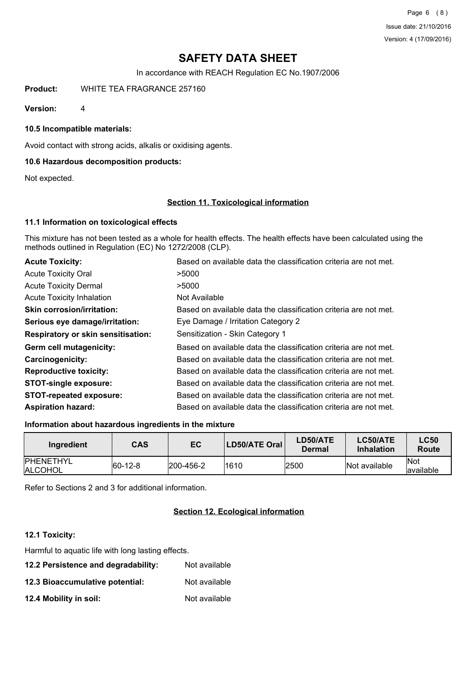Page 6 (8) Issue date: 21/10/2016 Version: 4 (17/09/2016)

## **SAFETY DATA SHEET**

In accordance with REACH Regulation EC No.1907/2006

**Product:** WHITE TEA FRAGRANCE 257160

**Version:** 4

**10.5 Incompatible materials:**

Avoid contact with strong acids, alkalis or oxidising agents.

## **10.6 Hazardous decomposition products:**

Not expected.

### **Section 11. Toxicological information**

### **11.1 Information on toxicological effects**

This mixture has not been tested as a whole for health effects. The health effects have been calculated using the methods outlined in Regulation (EC) No 1272/2008 (CLP).

| <b>Acute Toxicity:</b>                    | Based on available data the classification criteria are not met. |
|-------------------------------------------|------------------------------------------------------------------|
| <b>Acute Toxicity Oral</b>                | >5000                                                            |
| <b>Acute Toxicity Dermal</b>              | >5000                                                            |
| <b>Acute Toxicity Inhalation</b>          | Not Available                                                    |
| <b>Skin corrosion/irritation:</b>         | Based on available data the classification criteria are not met. |
| Serious eye damage/irritation:            | Eye Damage / Irritation Category 2                               |
| <b>Respiratory or skin sensitisation:</b> | Sensitization - Skin Category 1                                  |
| Germ cell mutagenicity:                   | Based on available data the classification criteria are not met. |
| <b>Carcinogenicity:</b>                   | Based on available data the classification criteria are not met. |
| <b>Reproductive toxicity:</b>             | Based on available data the classification criteria are not met. |
| <b>STOT-single exposure:</b>              | Based on available data the classification criteria are not met. |
| <b>STOT-repeated exposure:</b>            | Based on available data the classification criteria are not met. |
| <b>Aspiration hazard:</b>                 | Based on available data the classification criteria are not met. |

#### **Information about hazardous ingredients in the mixture**

| Ingredient                          | <b>CAS</b> | EC                | LD50/ATE Oral | LD50/ATE<br>Dermal | LC50/ATE<br><b>Inhalation</b> | <b>LC50</b><br><b>Route</b> |
|-------------------------------------|------------|-------------------|---------------|--------------------|-------------------------------|-----------------------------|
| <b>IPHENETHYL</b><br><b>ALCOHOL</b> | $ 60-12-8$ | $ 200 - 456 - 2 $ | 1610          | 2500               | Not available                 | <b>Not</b><br>lavailable    |

Refer to Sections 2 and 3 for additional information.

## **Section 12. Ecological information**

#### **12.1 Toxicity:**

Harmful to aquatic life with long lasting effects.

- **12.2 Persistence and degradability:** Not available
- **12.3 Bioaccumulative potential:** Not available
- **12.4 Mobility in soil:** Not available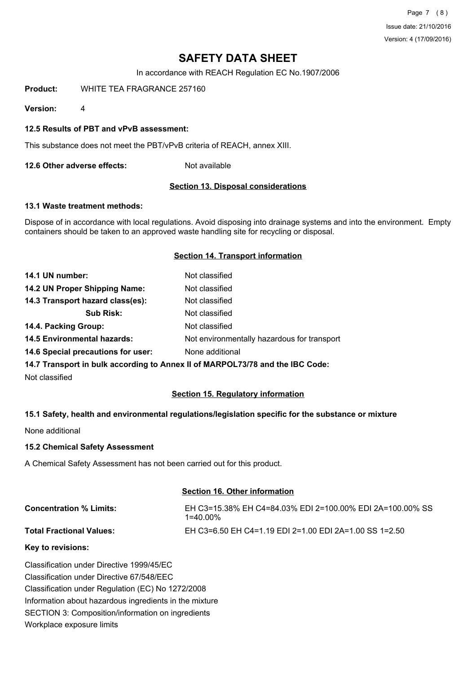Page 7 (8) Issue date: 21/10/2016 Version: 4 (17/09/2016)

# **SAFETY DATA SHEET**

In accordance with REACH Regulation EC No.1907/2006

**Product:** WHITE TEA FRAGRANCE 257160

**Version:** 4

### **12.5 Results of PBT and vPvB assessment:**

This substance does not meet the PBT/vPvB criteria of REACH, annex XIII.

**12.6 Other adverse effects:** Not available

### **Section 13. Disposal considerations**

### **13.1 Waste treatment methods:**

Dispose of in accordance with local regulations. Avoid disposing into drainage systems and into the environment. Empty containers should be taken to an approved waste handling site for recycling or disposal.

#### **Section 14. Transport information**

| 14.1 UN number:                    | Not classified                                                                |
|------------------------------------|-------------------------------------------------------------------------------|
| 14.2 UN Proper Shipping Name:      | Not classified                                                                |
| 14.3 Transport hazard class(es):   | Not classified                                                                |
| <b>Sub Risk:</b>                   | Not classified                                                                |
| 14.4. Packing Group:               | Not classified                                                                |
| <b>14.5 Environmental hazards:</b> | Not environmentally hazardous for transport                                   |
| 14.6 Special precautions for user: | None additional                                                               |
|                                    | 14 7 Transport in bully session to Anney II of MADDOI 72/70 and the IDC Cader |

**14.7 Transport in bulk according to Annex II of MARPOL73/78 and the IBC Code:**

Not classified

## **Section 15. Regulatory information**

## **15.1 Safety, health and environmental regulations/legislation specific for the substance or mixture**

None additional

**15.2 Chemical Safety Assessment**

A Chemical Safety Assessment has not been carried out for this product.

#### **Section 16. Other information**

| <b>Concentration % Limits:</b>  | EH C3=15.38% EH C4=84.03% EDI 2=100.00% EDI 2A=100.00% SS<br>1=40.00% |
|---------------------------------|-----------------------------------------------------------------------|
| <b>Total Fractional Values:</b> | EH C3=6.50 EH C4=1.19 EDI 2=1.00 EDI 2A=1.00 SS 1=2.50                |

#### **Key to revisions:**

Classification under Directive 1999/45/EC Classification under Directive 67/548/EEC Classification under Regulation (EC) No 1272/2008 Information about hazardous ingredients in the mixture SECTION 3: Composition/information on ingredients Workplace exposure limits